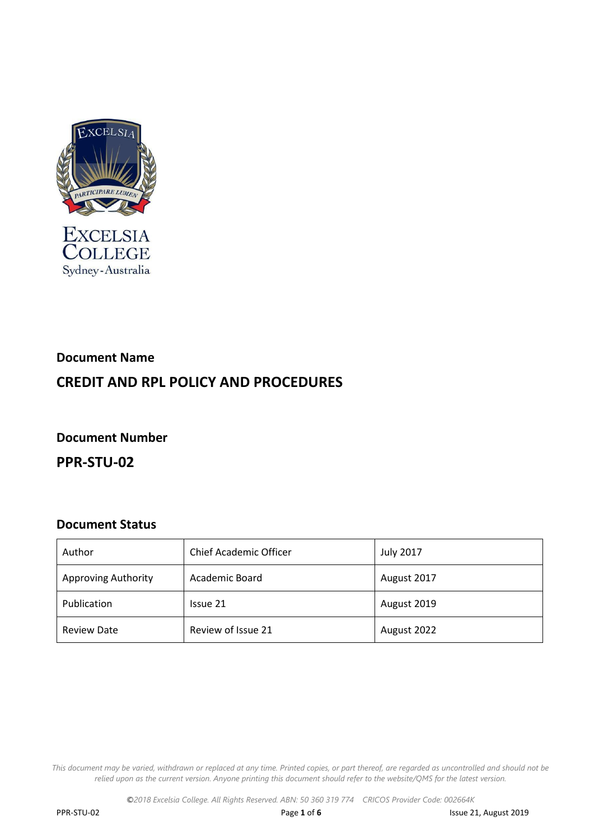

# **Document Name CREDIT AND RPL POLICY AND PROCEDURES**

**Document Number**

**PPR-STU-02**

## **Document Status**

| Author                     | <b>Chief Academic Officer</b> | <b>July 2017</b> |
|----------------------------|-------------------------------|------------------|
| <b>Approving Authority</b> | Academic Board                | August 2017      |
| Publication                | Issue 21                      | August 2019      |
| <b>Review Date</b>         | Review of Issue 21            | August 2022      |

This document may be varied, withdrawn or replaced at any time. Printed copies, or part thereof, are regarded as uncontrolled and should not be relied upon as the current version. Anyone printing this document should refer to the website/QMS for the latest version.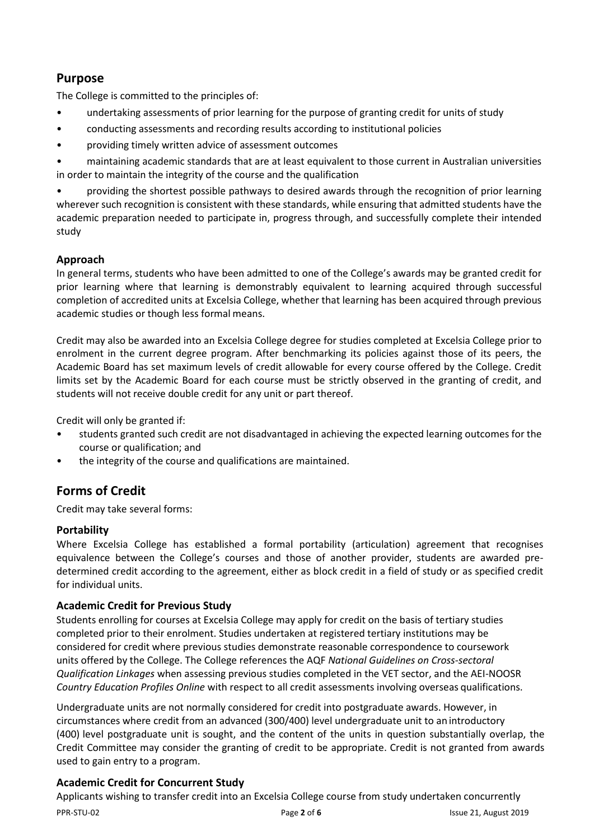# **Purpose**

The College is committed to the principles of:

- undertaking assessments of prior learning for the purpose of granting credit for units of study
- conducting assessments and recording results according to institutional policies
- providing timely written advice of assessment outcomes

• maintaining academic standards that are at least equivalent to those current in Australian universities in order to maintain the integrity of the course and the qualification

• providing the shortest possible pathways to desired awards through the recognition of prior learning wherever such recognition is consistent with these standards, while ensuring that admitted students have the academic preparation needed to participate in, progress through, and successfully complete their intended study

## **Approach**

In general terms, students who have been admitted to one of the College's awards may be granted credit for prior learning where that learning is demonstrably equivalent to learning acquired through successful completion of accredited units at Excelsia College, whether that learning has been acquired through previous academic studies or though less formal means.

Credit may also be awarded into an Excelsia College degree for studies completed at Excelsia College prior to enrolment in the current degree program. After benchmarking its policies against those of its peers, the Academic Board has set maximum levels of credit allowable for every course offered by the College. Credit limits set by the Academic Board for each course must be strictly observed in the granting of credit, and students will not receive double credit for any unit or part thereof.

Credit will only be granted if:

- students granted such credit are not disadvantaged in achieving the expected learning outcomes for the course or qualification; and
- the integrity of the course and qualifications are maintained.

## **Forms of Credit**

Credit may take several forms:

#### **Portability**

Where Excelsia College has established a formal portability (articulation) agreement that recognises equivalence between the College's courses and those of another provider, students are awarded predetermined credit according to the agreement, either as block credit in a field of study or as specified credit for individual units.

#### **Academic Credit for Previous Study**

Students enrolling for courses at Excelsia College may apply for credit on the basis of tertiary studies completed prior to their enrolment. Studies undertaken at registered tertiary institutions may be considered for credit where previous studies demonstrate reasonable correspondence to coursework units offered by the College. The College references the AQF *National Guidelines on Cross-sectoral Qualification Linkages* when assessing previous studies completed in the VET sector, and the AEI-NOOSR *Country Education Profiles Online* with respect to all credit assessments involving overseas qualifications.

Undergraduate units are not normally considered for credit into postgraduate awards. However, in circumstances where credit from an advanced (300/400) level undergraduate unit to an introductory (400) level postgraduate unit is sought, and the content of the units in question substantially overlap, the Credit Committee may consider the granting of credit to be appropriate. Credit is not granted from awards used to gain entry to a program.

#### **Academic Credit for Concurrent Study**

PPR-STU-02 Page **2** of **6** Issue 21, August 2019 Applicants wishing to transfer credit into an Excelsia College course from study undertaken concurrently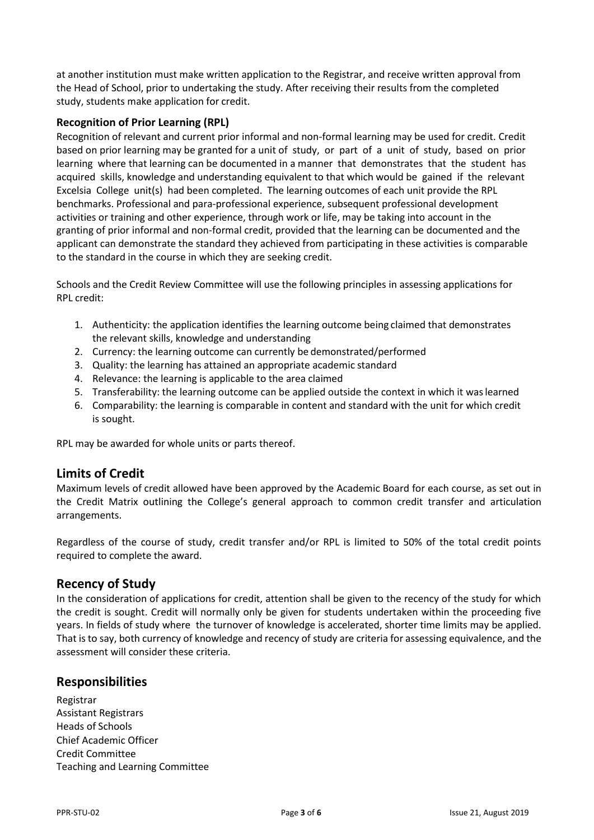at another institution must make written application to the Registrar, and receive written approval from the Head of School, prior to undertaking the study. After receiving their results from the completed study, students make application for credit.

#### **Recognition of Prior Learning (RPL)**

Recognition of relevant and current prior informal and non-formal learning may be used for credit. Credit based on prior learning may be granted for a unit of study, or part of a unit of study, based on prior learning where that learning can be documented in a manner that demonstrates that the student has acquired skills, knowledge and understanding equivalent to that which would be gained if the relevant Excelsia College unit(s) had been completed. The learning outcomes of each unit provide the RPL benchmarks. Professional and para-professional experience, subsequent professional development activities or training and other experience, through work or life, may be taking into account in the granting of prior informal and non-formal credit, provided that the learning can be documented and the applicant can demonstrate the standard they achieved from participating in these activities is comparable to the standard in the course in which they are seeking credit.

Schools and the Credit Review Committee will use the following principles in assessing applications for RPL credit:

- 1. Authenticity: the application identifies the learning outcome being claimed that demonstrates the relevant skills, knowledge and understanding
- 2. Currency: the learning outcome can currently be demonstrated/performed
- 3. Quality: the learning has attained an appropriate academic standard
- 4. Relevance: the learning is applicable to the area claimed
- 5. Transferability: the learning outcome can be applied outside the context in which it waslearned
- 6. Comparability: the learning is comparable in content and standard with the unit for which credit is sought.

RPL may be awarded for whole units or parts thereof.

#### **Limits of Credit**

Maximum levels of credit allowed have been approved by the Academic Board for each course, as set out in the Credit Matrix outlining the College's general approach to common credit transfer and articulation arrangements.

Regardless of the course of study, credit transfer and/or RPL is limited to 50% of the total credit points required to complete the award.

#### **Recency of Study**

In the consideration of applications for credit, attention shall be given to the recency of the study for which the credit is sought. Credit will normally only be given for students undertaken within the proceeding five years. In fields of study where the turnover of knowledge is accelerated, shorter time limits may be applied. That is to say, both currency of knowledge and recency of study are criteria for assessing equivalence, and the assessment will consider these criteria.

#### **Responsibilities**

Registrar Assistant Registrars Heads of Schools Chief Academic Officer Credit Committee Teaching and Learning Committee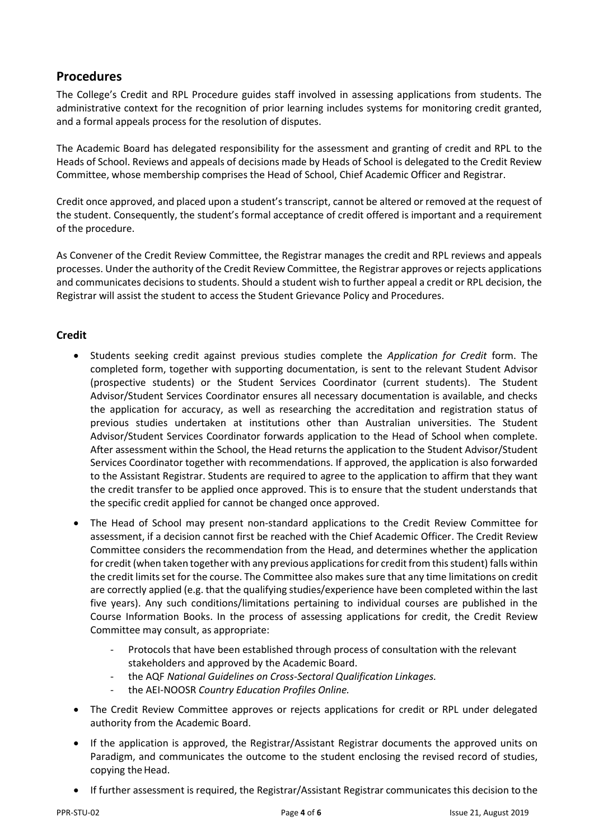## **Procedures**

The College's Credit and RPL Procedure guides staff involved in assessing applications from students. The administrative context for the recognition of prior learning includes systems for monitoring credit granted, and a formal appeals process for the resolution of disputes.

The Academic Board has delegated responsibility for the assessment and granting of credit and RPL to the Heads of School. Reviews and appeals of decisions made by Heads of School is delegated to the Credit Review Committee, whose membership comprises the Head of School, Chief Academic Officer and Registrar.

Credit once approved, and placed upon a student's transcript, cannot be altered or removed at the request of the student. Consequently, the student's formal acceptance of credit offered is important and a requirement of the procedure.

As Convener of the Credit Review Committee, the Registrar manages the credit and RPL reviews and appeals processes. Under the authority of the Credit Review Committee, the Registrar approves or rejects applications and communicates decisions to students. Should a student wish to further appeal a credit or RPL decision, the Registrar will assist the student to access the Student Grievance Policy and Procedures.

## **Credit**

- Students seeking credit against previous studies complete the *Application for Credit* form. The completed form, together with supporting documentation, is sent to the relevant Student Advisor (prospective students) or the Student Services Coordinator (current students). The Student Advisor/Student Services Coordinator ensures all necessary documentation is available, and checks the application for accuracy, as well as researching the accreditation and registration status of previous studies undertaken at institutions other than Australian universities. The Student Advisor/Student Services Coordinator forwards application to the Head of School when complete. After assessment within the School, the Head returns the application to the Student Advisor/Student Services Coordinator together with recommendations. If approved, the application is also forwarded to the Assistant Registrar. Students are required to agree to the application to affirm that they want the credit transfer to be applied once approved. This is to ensure that the student understands that the specific credit applied for cannot be changed once approved.
- The Head of School may present non-standard applications to the Credit Review Committee for assessment, if a decision cannot first be reached with the Chief Academic Officer. The Credit Review Committee considers the recommendation from the Head, and determines whether the application for credit (when taken together with any previous applications for credit from this student) falls within the credit limits set for the course. The Committee also makes sure that any time limitations on credit are correctly applied (e.g. that the qualifying studies/experience have been completed within the last five years). Any such conditions/limitations pertaining to individual courses are published in the Course Information Books. In the process of assessing applications for credit, the Credit Review Committee may consult, as appropriate:
	- Protocols that have been established through process of consultation with the relevant stakeholders and approved by the Academic Board.
	- the AQF *National Guidelines on Cross-Sectoral Qualification Linkages.*
	- the AEI-NOOSR *Country Education Profiles Online.*
- The Credit Review Committee approves or rejects applications for credit or RPL under delegated authority from the Academic Board.
- If the application is approved, the Registrar/Assistant Registrar documents the approved units on Paradigm, and communicates the outcome to the student enclosing the revised record of studies, copying the Head.
- If further assessment is required, the Registrar/Assistant Registrar communicates this decision to the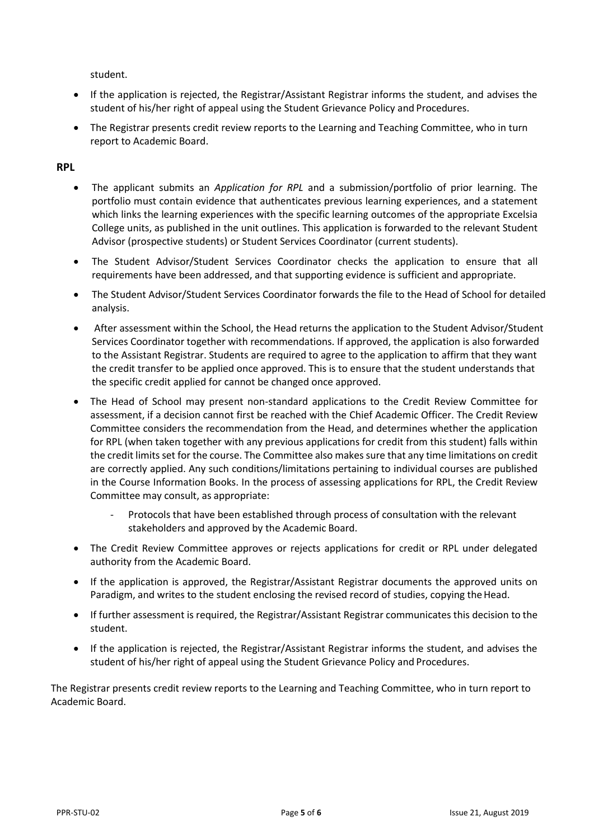student.

- If the application is rejected, the Registrar/Assistant Registrar informs the student, and advises the student of his/her right of appeal using the Student Grievance Policy and Procedures.
- The Registrar presents credit review reports to the Learning and Teaching Committee, who in turn report to Academic Board.

#### **RPL**

- The applicant submits an *Application for RPL* and a submission/portfolio of prior learning. The portfolio must contain evidence that authenticates previous learning experiences, and a statement which links the learning experiences with the specific learning outcomes of the appropriate Excelsia College units, as published in the unit outlines. This application is forwarded to the relevant Student Advisor (prospective students) or Student Services Coordinator (current students).
- The Student Advisor/Student Services Coordinator checks the application to ensure that all requirements have been addressed, and that supporting evidence is sufficient and appropriate.
- The Student Advisor/Student Services Coordinator forwards the file to the Head of School for detailed analysis.
- After assessment within the School, the Head returns the application to the Student Advisor/Student Services Coordinator together with recommendations. If approved, the application is also forwarded to the Assistant Registrar. Students are required to agree to the application to affirm that they want the credit transfer to be applied once approved. This is to ensure that the student understands that the specific credit applied for cannot be changed once approved.
- The Head of School may present non-standard applications to the Credit Review Committee for assessment, if a decision cannot first be reached with the Chief Academic Officer. The Credit Review Committee considers the recommendation from the Head, and determines whether the application for RPL (when taken together with any previous applications for credit from this student) falls within the credit limits set for the course. The Committee also makes sure that any time limitations on credit are correctly applied. Any such conditions/limitations pertaining to individual courses are published in the Course Information Books. In the process of assessing applications for RPL, the Credit Review Committee may consult, as appropriate:
	- Protocols that have been established through process of consultation with the relevant stakeholders and approved by the Academic Board.
- The Credit Review Committee approves or rejects applications for credit or RPL under delegated authority from the Academic Board.
- If the application is approved, the Registrar/Assistant Registrar documents the approved units on Paradigm, and writes to the student enclosing the revised record of studies, copying the Head.
- If further assessment is required, the Registrar/Assistant Registrar communicates this decision to the student.
- If the application is rejected, the Registrar/Assistant Registrar informs the student, and advises the student of his/her right of appeal using the Student Grievance Policy and Procedures.

The Registrar presents credit review reports to the Learning and Teaching Committee, who in turn report to Academic Board.